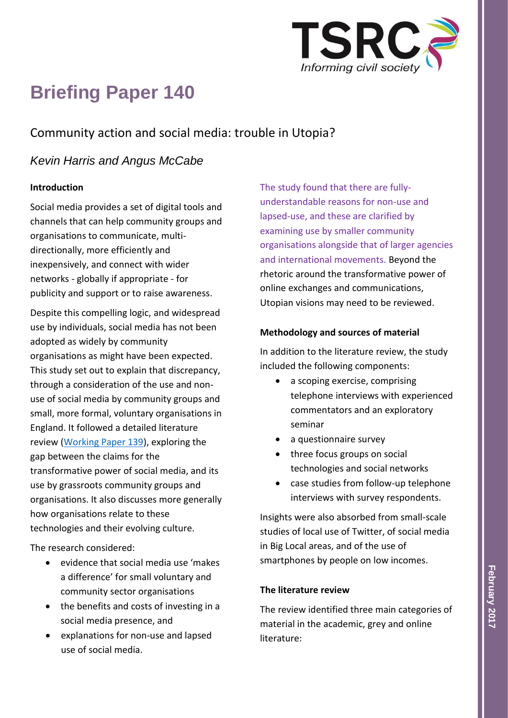

# **Briefing Paper 140**

# Community action and social media: trouble in Utopia?

## *Kevin Harris and Angus McCabe*

## **Introduction**

Social media provides a set of digital tools and channels that can help community groups and organisations to communicate, multidirectionally, more efficiently and inexpensively, and connect with wider networks - globally if appropriate - for publicity and support or to raise awareness.

Despite this compelling logic, and widespread use by individuals, social media has not been adopted as widely by community organisations as might have been expected. This study set out to explain that discrepancy, through a consideration of the use and nonuse of social media by community groups and small, more formal, voluntary organisations in England. It followed a detailed literature review [\(Working Paper 139\)](http://www.birmingham.ac.uk/generic/tsrc/documents/tsrc/working-papers/working-paper-139.pdf), exploring the gap between the claims for the transformative power of social media, and its use by grassroots community groups and organisations. It also discusses more generally how organisations relate to these technologies and their evolving culture.

The research considered:

- evidence that social media use 'makes a difference' for small voluntary and community sector organisations
- the benefits and costs of investing in a social media presence, and
- explanations for non-use and lapsed use of social media.

The study found that there are fullyunderstandable reasons for non-use and lapsed-use, and these are clarified by examining use by smaller community organisations alongside that of larger agencies and international movements. Beyond the rhetoric around the transformative power of online exchanges and communications, Utopian visions may need to be reviewed.

## **Methodology and sources of material**

In addition to the literature review, the study included the following components:

- a scoping exercise, comprising telephone interviews with experienced commentators and an exploratory seminar
- a questionnaire survey
- three focus groups on social technologies and social networks
- case studies from follow-up telephone interviews with survey respondents.

Insights were also absorbed from small-scale studies of local use of Twitter, of social media in Big Local areas, and of the use of smartphones by people on low incomes.

### **The literature review**

The review identified three main categories of material in the academic, grey and online literature: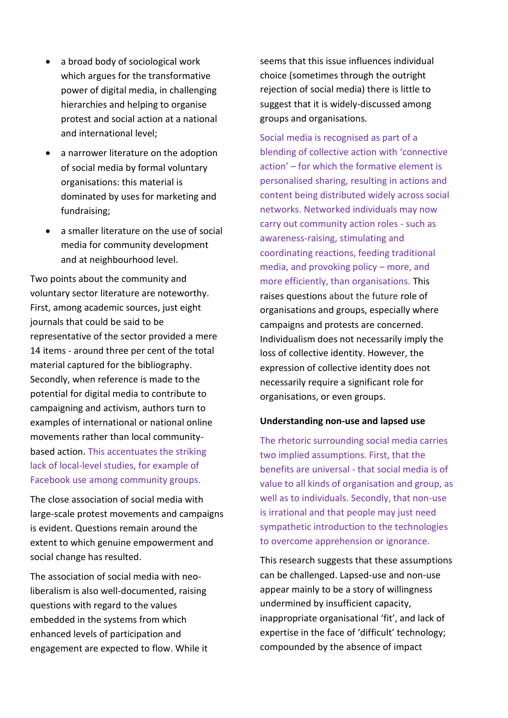- a broad body of sociological work which argues for the transformative power of digital media, in challenging hierarchies and helping to organise protest and social action at a national and international level;
- a narrower literature on the adoption of social media by formal voluntary organisations: this material is dominated by uses for marketing and fundraising;
- a smaller literature on the use of social media for community development and at neighbourhood level.

Two points about the community and voluntary sector literature are noteworthy. First, among academic sources, just eight journals that could be said to be representative of the sector provided a mere 14 items - around three per cent of the total material captured for the bibliography. Secondly, when reference is made to the potential for digital media to contribute to campaigning and activism, authors turn to examples of international or national online movements rather than local communitybased action. This accentuates the striking lack of local-level studies, for example of Facebook use among community groups.

The close association of social media with large-scale protest movements and campaigns is evident. Questions remain around the extent to which genuine empowerment and social change has resulted.

The association of social media with neoliberalism is also well-documented, raising questions with regard to the values embedded in the systems from which enhanced levels of participation and engagement are expected to flow. While it seems that this issue influences individual choice (sometimes through the outright rejection of social media) there is little to suggest that it is widely-discussed among groups and organisations.

Social media is recognised as part of a blending of collective action with 'connective action' – for which the formative element is personalised sharing, resulting in actions and content being distributed widely across social networks. Networked individuals may now carry out community action roles - such as awareness-raising, stimulating and coordinating reactions, feeding traditional media, and provoking policy – more, and more efficiently, than organisations. This raises questions about the future role of organisations and groups, especially where campaigns and protests are concerned. Individualism does not necessarily imply the loss of collective identity. However, the expression of collective identity does not necessarily require a significant role for organisations, or even groups.

#### **Understanding non-use and lapsed use**

The rhetoric surrounding social media carries two implied assumptions. First, that the benefits are universal - that social media is of value to all kinds of organisation and group, as well as to individuals. Secondly, that non-use is irrational and that people may just need sympathetic introduction to the technologies to overcome apprehension or ignorance.

This research suggests that these assumptions can be challenged. Lapsed-use and non-use appear mainly to be a story of willingness undermined by insufficient capacity, inappropriate organisational 'fit', and lack of expertise in the face of 'difficult' technology; compounded by the absence of impact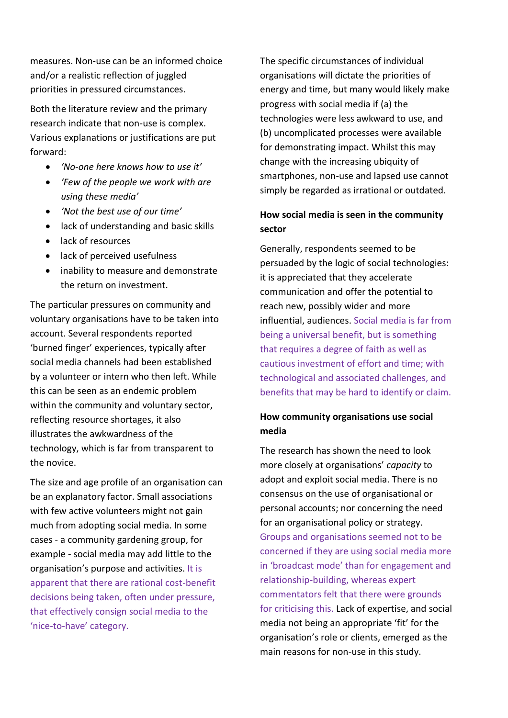measures. Non-use can be an informed choice and/or a realistic reflection of juggled priorities in pressured circumstances.

Both the literature review and the primary research indicate that non-use is complex. Various explanations or justifications are put forward:

- *'No-one here knows how to use it'*
- *'Few of the people we work with are using these media'*
- *'Not the best use of our time'*
- lack of understanding and basic skills
- lack of resources
- lack of perceived usefulness
- inability to measure and demonstrate the return on investment.

The particular pressures on community and voluntary organisations have to be taken into account. Several respondents reported 'burned finger' experiences, typically after social media channels had been established by a volunteer or intern who then left. While this can be seen as an endemic problem within the community and voluntary sector, reflecting resource shortages, it also illustrates the awkwardness of the technology, which is far from transparent to the novice.

The size and age profile of an organisation can be an explanatory factor. Small associations with few active volunteers might not gain much from adopting social media. In some cases - a community gardening group, for example - social media may add little to the organisation's purpose and activities. It is apparent that there are rational cost-benefit decisions being taken, often under pressure, that effectively consign social media to the 'nice-to-have' category.

The specific circumstances of individual organisations will dictate the priorities of energy and time, but many would likely make progress with social media if (a) the technologies were less awkward to use, and (b) uncomplicated processes were available for demonstrating impact. Whilst this may change with the increasing ubiquity of smartphones, non-use and lapsed use cannot simply be regarded as irrational or outdated.

## **How social media is seen in the community sector**

Generally, respondents seemed to be persuaded by the logic of social technologies: it is appreciated that they accelerate communication and offer the potential to reach new, possibly wider and more influential, audiences. Social media is far from being a universal benefit, but is something that requires a degree of faith as well as cautious investment of effort and time; with technological and associated challenges, and benefits that may be hard to identify or claim.

## **How community organisations use social media**

The research has shown the need to look more closely at organisations' *capacity* to adopt and exploit social media. There is no consensus on the use of organisational or personal accounts; nor concerning the need for an organisational policy or strategy. Groups and organisations seemed not to be concerned if they are using social media more in 'broadcast mode' than for engagement and relationship-building, whereas expert commentators felt that there were grounds for criticising this. Lack of expertise, and social media not being an appropriate 'fit' for the organisation's role or clients, emerged as the main reasons for non-use in this study.